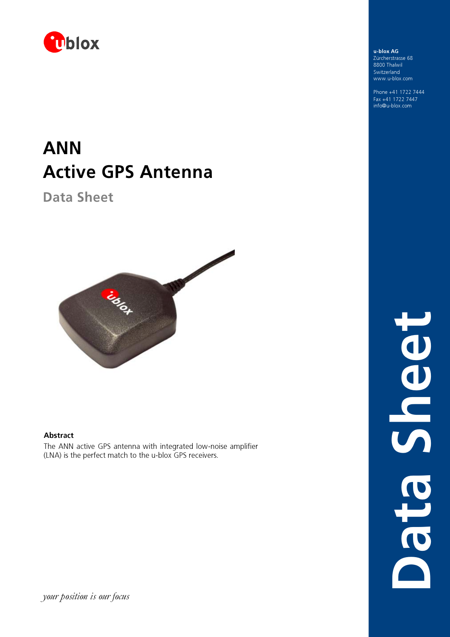

# ANN Active GPS Antenna

Data Sheet



### Abstract

The ANN active GPS antenna with integrated low-noise amplifier (LNA) is the perfect match to the u-blox GPS receivers.

u-blox AG Zürcherstrasse 68 8800Thalwil Switzerland www.u-blox.com

Phone +41 1722 7444 Fax +41 1722 7447 info@u-blox.com

> Data SheetBedra Ches

your position is our focus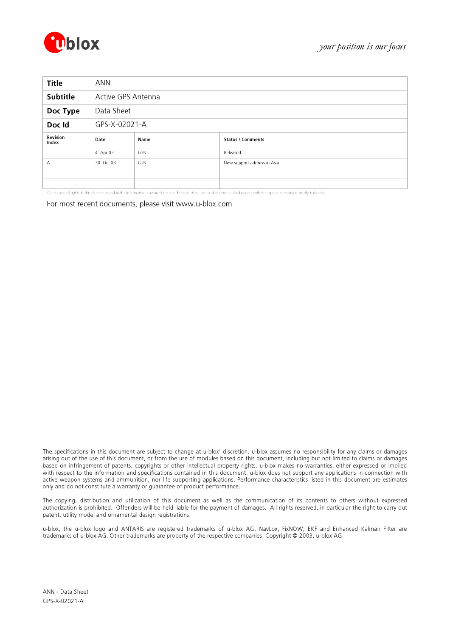

| <b>Title</b>      | ANN                |      |                             |  |
|-------------------|--------------------|------|-----------------------------|--|
| Subtitle          | Active GPS Antenna |      |                             |  |
| Doc Type          | Data Sheet         |      |                             |  |
| Doc Id            | GPS-X-02021-A      |      |                             |  |
| Revision<br>Index | Date               | Name | <b>Status / Comments</b>    |  |
|                   | 4. Apr 03          | GzB  | Released                    |  |
| A                 | 30. Oct 03         | GzB  | New support address in Asia |  |
|                   |                    |      |                             |  |
|                   |                    |      |                             |  |

We reserve all rights in this document and in the information contained therein. Reproduction, use or disclosure to third parties without express authority is strictly forbidden.

For most recent documents, please visit www.u-blox.com

The specifications in this document are subject to change at u-blox' discretion. u-blox assumes no responsibility for any claims or damages arising out of the use of this document, or from the use of modules based on this document, including but not limited to claims or damages based on infringement of patents, copyrights or other intellectual property rights. u-blox makes no warranties, either expressed or implied with respect to the information and specifications contained in this document. u-blox does not support any applications in connection with active weapon systems and ammunition, nor life supporting applications. Performance characteristics listed in this document are estimates only and do not constitute a warranty or guarantee of product performance.

The copying, distribution and utilization of this document as well as the communication of its contents to others without expressed authorization is prohibited. Offenders will be held liable for the payment of damages. All rights reserved, in particular the right to carry out patent, utility model and ornamental design registrations.

u-blox, the u-blox logo and ANTARIS are registered trademarks of u-blox AG. NavLox, FixNOW, EKF and Enhanced Kalman Filter are trademarks of u-blox AG. Other trademarks are property of the respective companies. Copyright © 2003, u-blox AG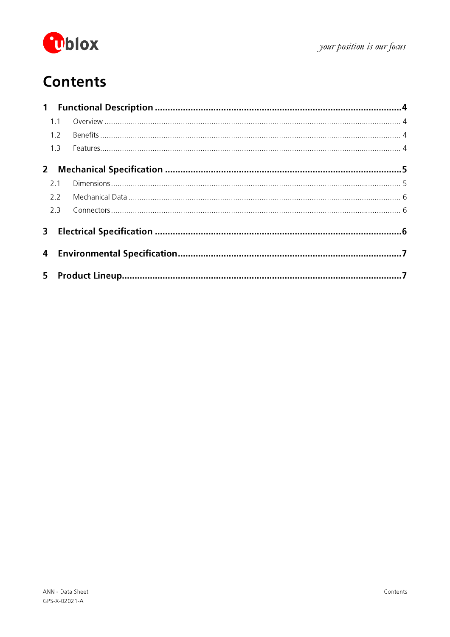

# **Contents**

|                | 1.1 |  |
|----------------|-----|--|
|                | 1.2 |  |
|                | 1.3 |  |
|                |     |  |
|                | 21  |  |
|                | 2.2 |  |
|                | 2.3 |  |
|                |     |  |
|                |     |  |
| 5 <sub>1</sub> |     |  |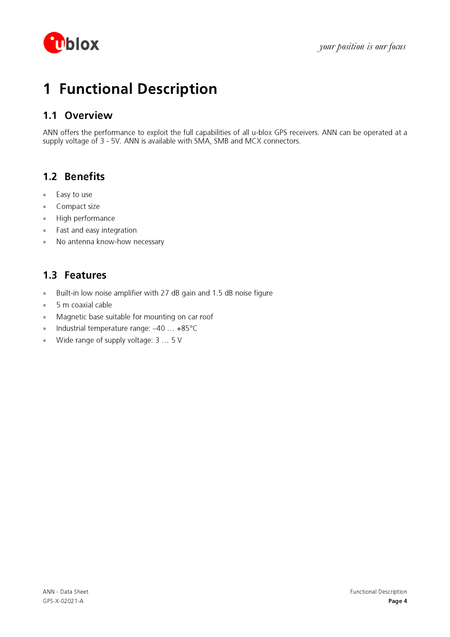

# 1 Functional Description

### 1.1 Overview

ANN offers the performance to exploit the full capabilities of all u-blox GPS receivers. ANN can be operated at a supply voltage of 3 - 5V. ANN is available with SMA, SMB and MCX connectors.

## 1.2 Benefits

- Easy to use
- Compact size
- High performance
- Fast and easy integration
- No antenna know-how necessary

### 1.3 Features

- Built-in low noise amplifier with 27 dB gain and 1.5 dB noise figure
- 5 m coaxial cable
- Magnetic base suitable for mounting on car roof
- Industrial temperature range:  $-40...+85^{\circ}C$
- Wide range of supply voltage: 3 ... 5 V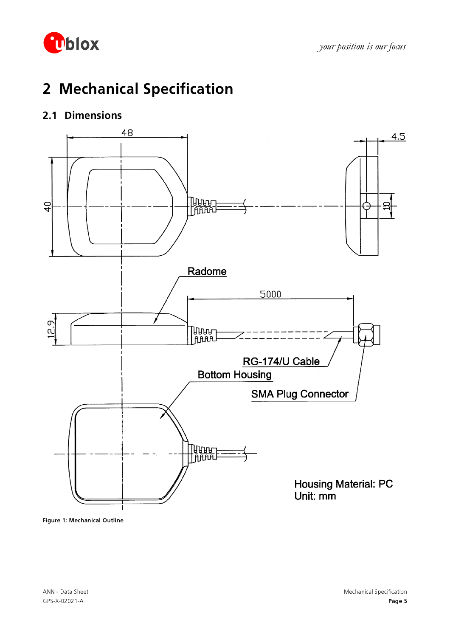

# 2 Mechanical Specification

## 2.1 Dimensions



Figure 1: Mechanical Outline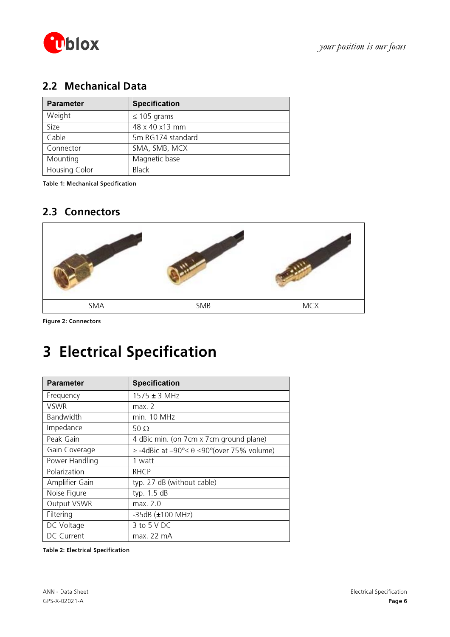

## 2.2 Mechanical Data

| <b>Parameter</b> | <b>Specification</b> |
|------------------|----------------------|
| Weight           | $\leq$ 105 grams     |
| Size             | 48 x 40 x13 mm       |
| Cable            | 5m RG174 standard    |
| Connector        | SMA, SMB, MCX        |
| Mounting         | Magnetic base        |
| Housing Color    | <b>Black</b>         |

Table 1: Mechanical Specification

### 2.3 Connectors



Figure 2: Connectors

# 3 Electrical Specification

| <b>Parameter</b> | <b>Specification</b>                                           |
|------------------|----------------------------------------------------------------|
| Frequency        | 1575 $\pm$ 3 MHz                                               |
| VSWR             | max. 2                                                         |
| Bandwidth        | min. 10 MHz                                                    |
| Impedance        | 50 $\Omega$                                                    |
| Peak Gain        | 4 dBic min. (on 7cm x 7cm ground plane)                        |
| Gain Coverage    | $\ge$ -4dBic at -90° $\le$ $\theta$ $\le$ 90°(over 75% volume) |
| Power Handling   | 1 watt                                                         |
| Polarization     | <b>RHCP</b>                                                    |
| Amplifier Gain   | typ. 27 dB (without cable)                                     |
| Noise Figure     | typ. 1.5 dB                                                    |
| Output VSWR      | max. 2.0                                                       |
| Filtering        | $-35dB$ ( $\pm 100 MHz$ )                                      |
| DC Voltage       | $3$ to $5$ V DC                                                |
| DC Current       | max. 22 mA                                                     |

Table 2: Electrical Specification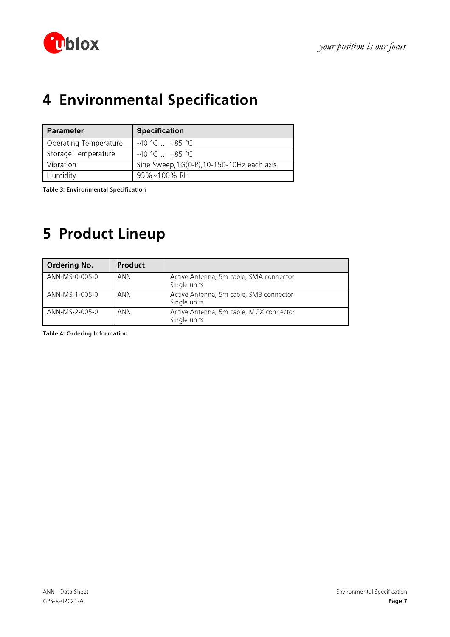

# 4 Environmental Specification

| <b>Parameter</b>             | <b>Specification</b>                       |
|------------------------------|--------------------------------------------|
| <b>Operating Temperature</b> | $-40$ °C $+85$ °C                          |
| Storage Temperature          | $-40 °C = +85 °C$                          |
| Vibration                    | Sine Sweep, 1G(0-P), 10-150-10Hz each axis |
| Humidity                     | 95%~100% RH                                |

Table 3: Environmental Specification

## 5 Product Lineup

| <b>Ordering No.</b> | Product |                                                         |
|---------------------|---------|---------------------------------------------------------|
| ANN-MS-0-005-0      | ANN     | Active Antenna, 5m cable, SMA connector<br>Single units |
| ANN-MS-1-005-0      | ANN     | Active Antenna, 5m cable, SMB connector<br>Single units |
| ANN-MS-2-005-0      | ANN     | Active Antenna, 5m cable, MCX connector<br>Single units |

Table 4: Ordering Information